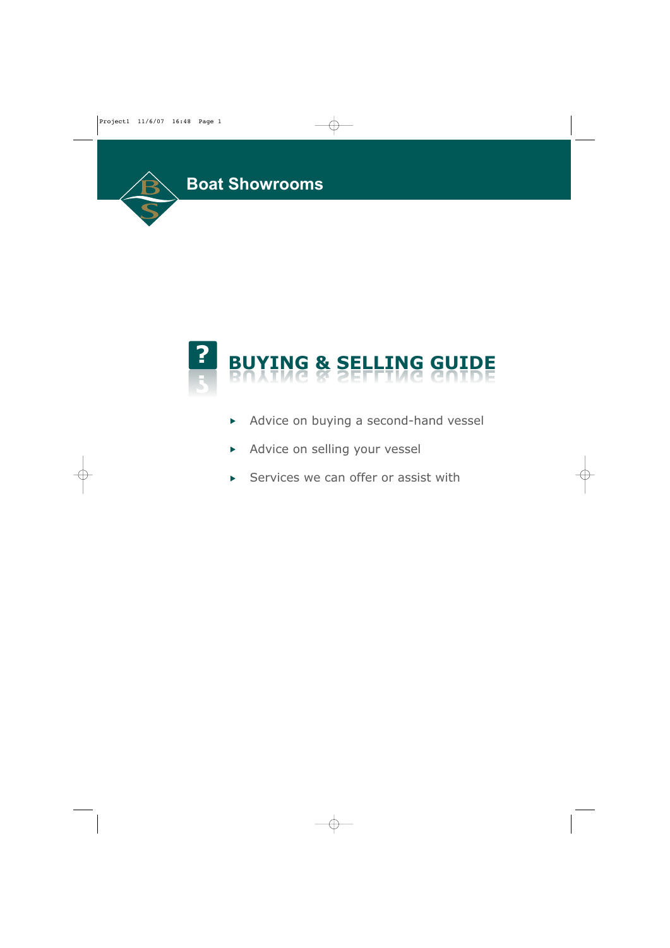



- Advice on buying a second-hand vessel
- Advice on selling your vessel
- $\triangleright$  Services we can offer or assist with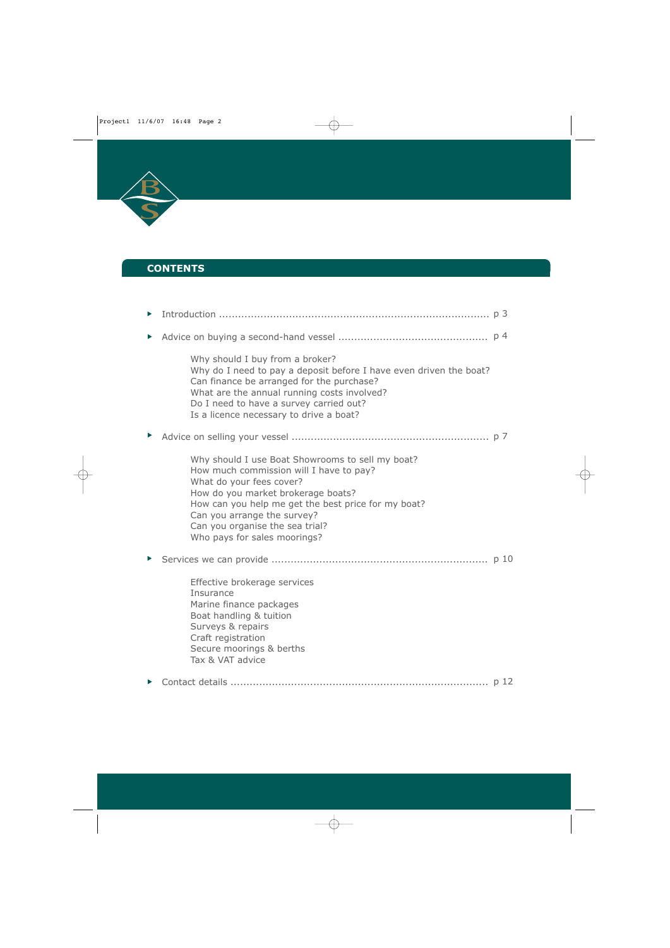

# **CONTENTS**

| Why should I buy from a broker?<br>Why do I need to pay a deposit before I have even driven the boat?<br>Can finance be arranged for the purchase?<br>What are the annual running costs involved?<br>Do I need to have a survey carried out?<br>Is a licence necessary to drive a boat?                                |  |
|------------------------------------------------------------------------------------------------------------------------------------------------------------------------------------------------------------------------------------------------------------------------------------------------------------------------|--|
|                                                                                                                                                                                                                                                                                                                        |  |
| Why should I use Boat Showrooms to sell my boat?<br>How much commission will I have to pay?<br>What do your fees cover?<br>How do you market brokerage boats?<br>How can you help me get the best price for my boat?<br>Can you arrange the survey?<br>Can you organise the sea trial?<br>Who pays for sales moorings? |  |
|                                                                                                                                                                                                                                                                                                                        |  |
| Effective brokerage services<br>Insurance<br>Marine finance packages<br>Boat handling & tuition<br>Surveys & repairs<br>Craft registration<br>Secure moorings & berths<br>Tax & VAT advice                                                                                                                             |  |
|                                                                                                                                                                                                                                                                                                                        |  |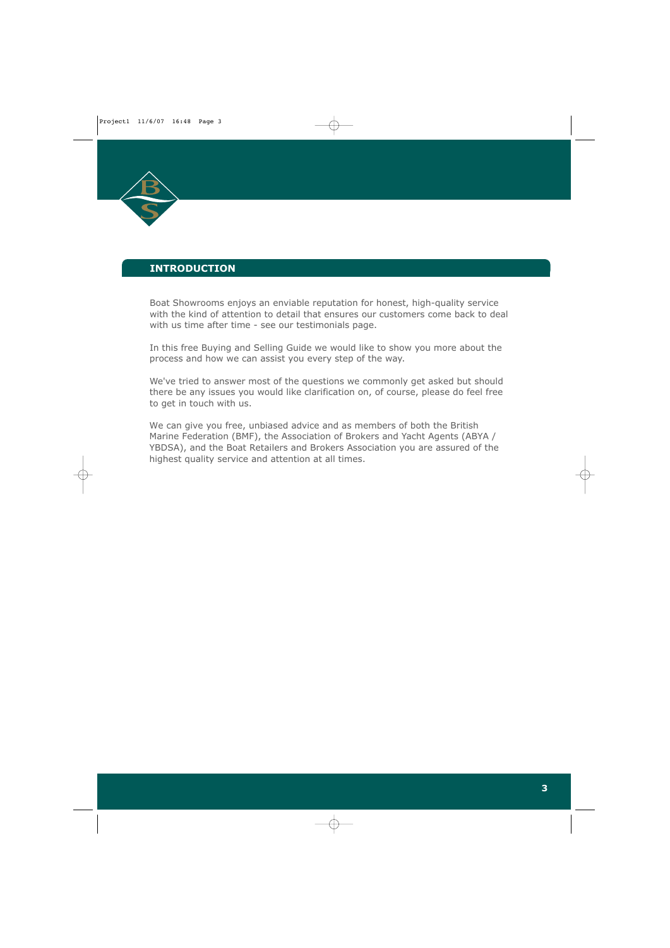

# **INTRODUCTION**

Boat Showrooms enjoys an enviable reputation for honest, high-quality service with the kind of attention to detail that ensures our customers come back to deal with us time after time - see our testimonials page.

In this free Buying and Selling Guide we would like to show you more about the process and how we can assist you every step of the way.

We've tried to answer most of the questions we commonly get asked but should there be any issues you would like clarification on, of course, please do feel free to get in touch with us.

We can give you free, unbiased advice and as members of both the British Marine Federation (BMF), the Association of Brokers and Yacht Agents (ABYA / YBDSA), and the Boat Retailers and Brokers Association you are assured of the highest quality service and attention at all times.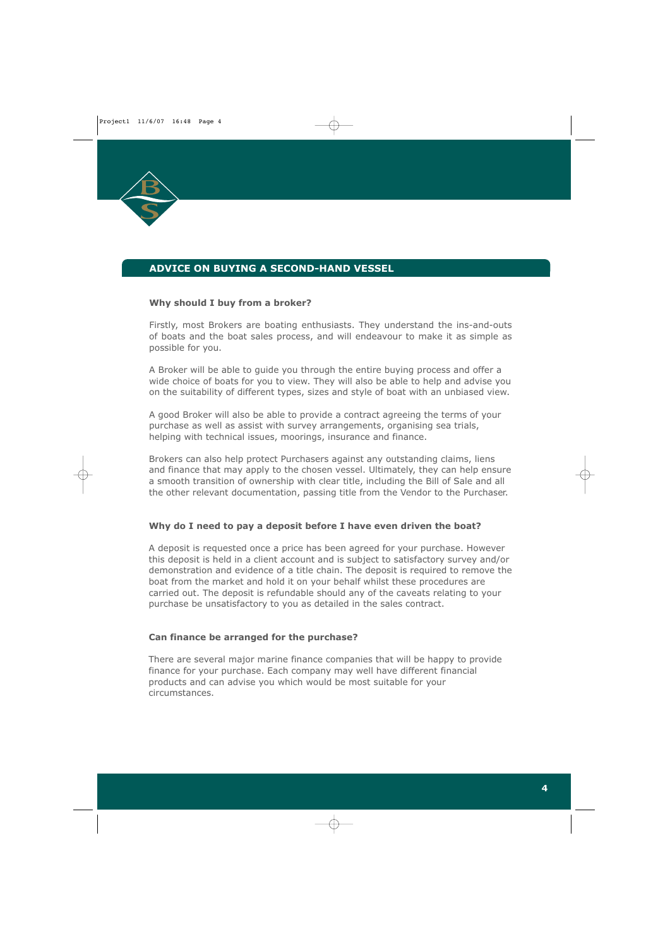

# **ADVICE ON BUYING A SECOND-HAND VESSEL**

## **Why should I buy from a broker?**

Firstly, most Brokers are boating enthusiasts. They understand the ins-and-outs of boats and the boat sales process, and will endeavour to make it as simple as possible for you.

A Broker will be able to guide you through the entire buying process and offer a wide choice of boats for you to view. They will also be able to help and advise you on the suitability of different types, sizes and style of boat with an unbiased view.

A good Broker will also be able to provide a contract agreeing the terms of your purchase as well as assist with survey arrangements, organising sea trials, helping with technical issues, moorings, insurance and finance.

Brokers can also help protect Purchasers against any outstanding claims, liens and finance that may apply to the chosen vessel. Ultimately, they can help ensure a smooth transition of ownership with clear title, including the Bill of Sale and all the other relevant documentation, passing title from the Vendor to the Purchaser.

#### **Why do I need to pay a deposit before I have even driven the boat?**

A deposit is requested once a price has been agreed for your purchase. However this deposit is held in a client account and is subject to satisfactory survey and/or demonstration and evidence of a title chain. The deposit is required to remove the boat from the market and hold it on your behalf whilst these procedures are carried out. The deposit is refundable should any of the caveats relating to your purchase be unsatisfactory to you as detailed in the sales contract.

#### **Can finance be arranged for the purchase?**

There are several major marine finance companies that will be happy to provide finance for your purchase. Each company may well have different financial products and can advise you which would be most suitable for your circumstances.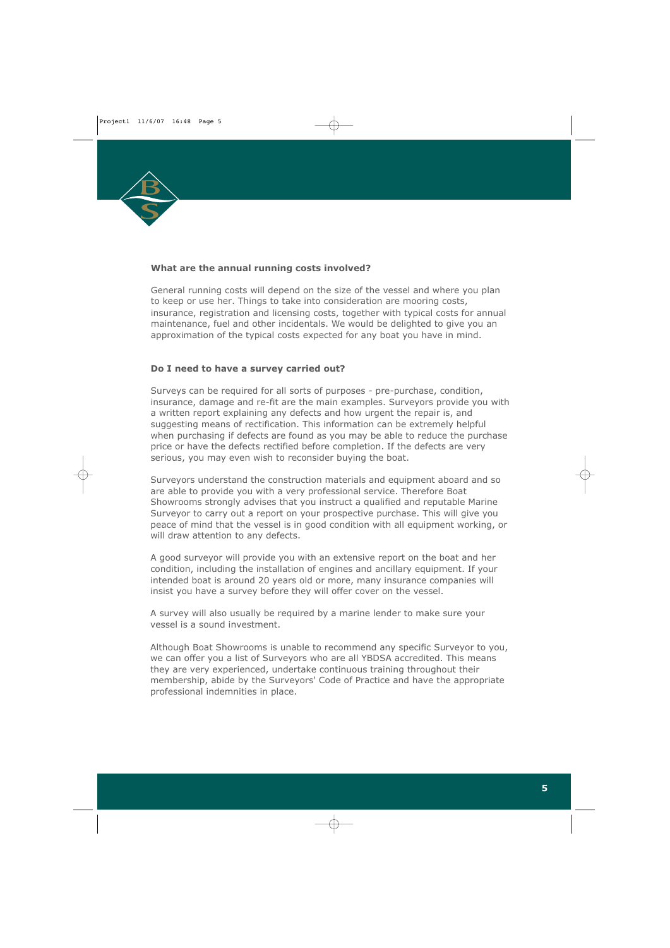

## **What are the annual running costs involved?**

General running costs will depend on the size of the vessel and where you plan to keep or use her. Things to take into consideration are mooring costs, insurance, registration and licensing costs, together with typical costs for annual maintenance, fuel and other incidentals. We would be delighted to give you an approximation of the typical costs expected for any boat you have in mind.

# **Do I need to have a survey carried out?**

Surveys can be required for all sorts of purposes - pre-purchase, condition, insurance, damage and re-fit are the main examples. Surveyors provide you with a written report explaining any defects and how urgent the repair is, and suggesting means of rectification. This information can be extremely helpful when purchasing if defects are found as you may be able to reduce the purchase price or have the defects rectified before completion. If the defects are very serious, you may even wish to reconsider buying the boat.

Surveyors understand the construction materials and equipment aboard and so are able to provide you with a very professional service. Therefore Boat Showrooms strongly advises that you instruct a qualified and reputable Marine Surveyor to carry out a report on your prospective purchase. This will give you peace of mind that the vessel is in good condition with all equipment working, or will draw attention to any defects.

A good surveyor will provide you with an extensive report on the boat and her condition, including the installation of engines and ancillary equipment. If your intended boat is around 20 years old or more, many insurance companies will insist you have a survey before they will offer cover on the vessel.

A survey will also usually be required by a marine lender to make sure your vessel is a sound investment.

Although Boat Showrooms is unable to recommend any specific Surveyor to you, we can offer you a list of Surveyors who are all YBDSA accredited. This means they are very experienced, undertake continuous training throughout their membership, abide by the Surveyors' Code of Practice and have the appropriate professional indemnities in place.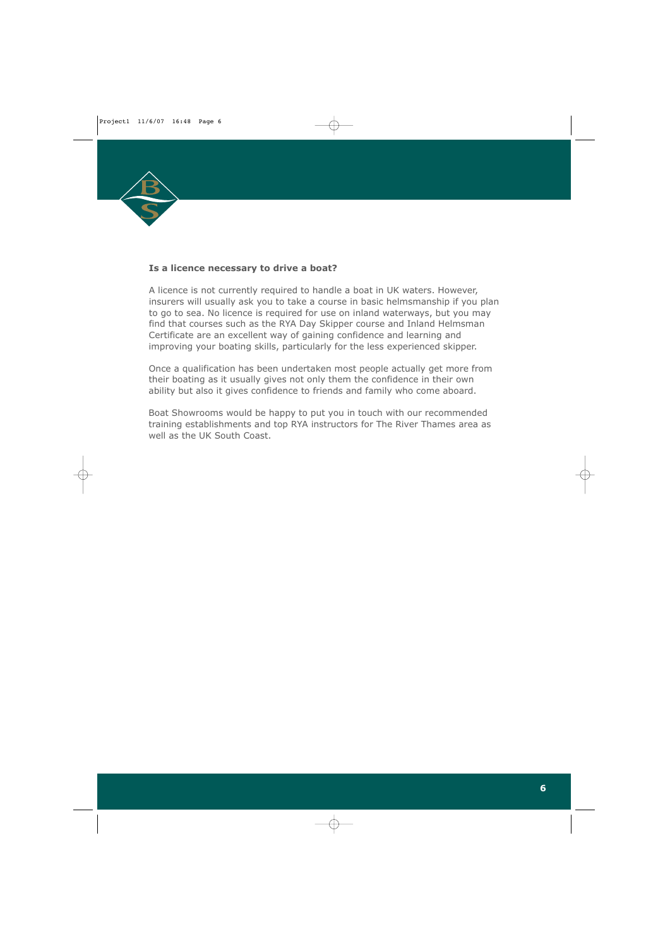

## **Is a licence necessary to drive a boat?**

A licence is not currently required to handle a boat in UK waters. However, insurers will usually ask you to take a course in basic helmsmanship if you plan to go to sea. No licence is required for use on inland waterways, but you may find that courses such as the RYA Day Skipper course and Inland Helmsman Certificate are an excellent way of gaining confidence and learning and improving your boating skills, particularly for the less experienced skipper.

Once a qualification has been undertaken most people actually get more from their boating as it usually gives not only them the confidence in their own ability but also it gives confidence to friends and family who come aboard.

Boat Showrooms would be happy to put you in touch with our recommended training establishments and top RYA instructors for The River Thames area as well as the UK South Coast.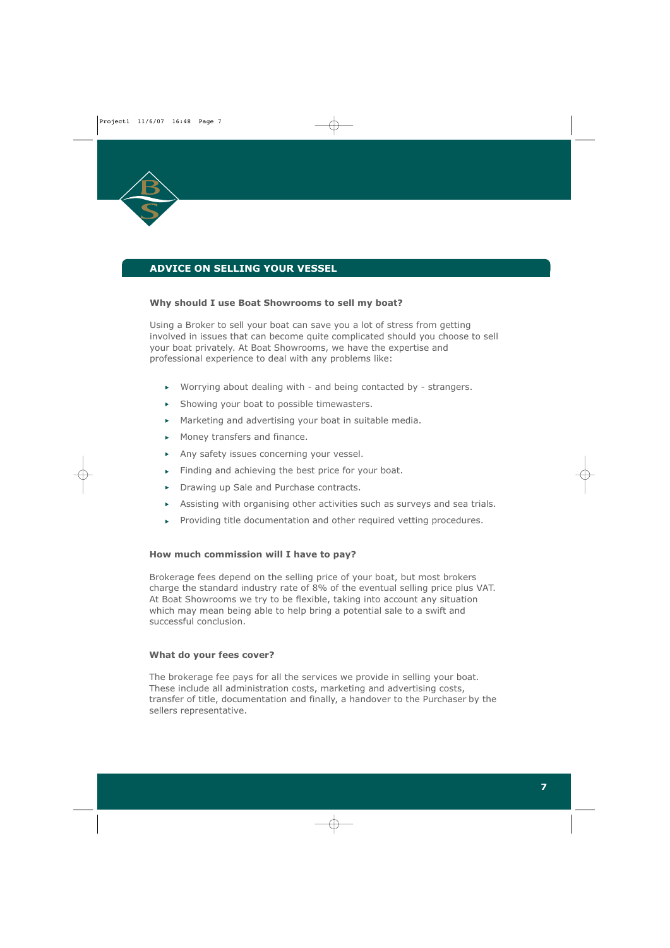

# **ADVICE ON SELLING YOUR VESSEL**

#### **Why should I use Boat Showrooms to sell my boat?**

Using a Broker to sell your boat can save you a lot of stress from getting involved in issues that can become quite complicated should you choose to sell your boat privately. At Boat Showrooms, we have the expertise and professional experience to deal with any problems like:

- Worrying about dealing with and being contacted by strangers.
- $\triangleright$  Showing your boat to possible timewasters.
- $\triangleright$  Marketing and advertising your boat in suitable media.
- Money transfers and finance.
- Any safety issues concerning your vessel.
- Finding and achieving the best price for your boat.
- Drawing up Sale and Purchase contracts.
- Assisting with organising other activities such as surveys and sea trials.
- Providing title documentation and other required vetting procedures.

#### **How much commission will I have to pay?**

Brokerage fees depend on the selling price of your boat, but most brokers charge the standard industry rate of 8% of the eventual selling price plus VAT. At Boat Showrooms we try to be flexible, taking into account any situation which may mean being able to help bring a potential sale to a swift and successful conclusion.

#### **What do your fees cover?**

The brokerage fee pays for all the services we provide in selling your boat. These include all administration costs, marketing and advertising costs, transfer of title, documentation and finally, a handover to the Purchaser by the sellers representative.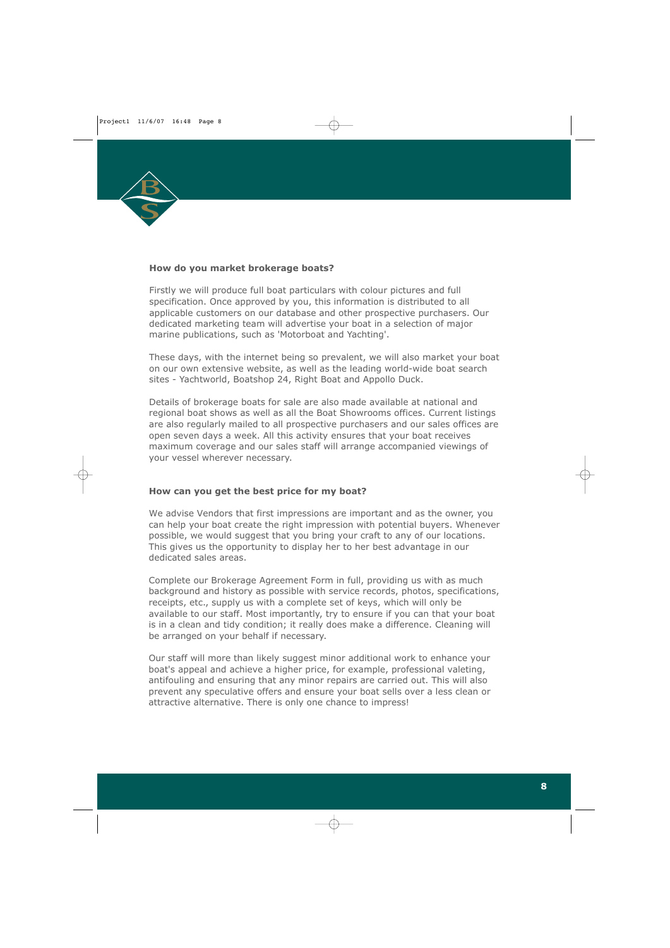

## **How do you market brokerage boats?**

Firstly we will produce full boat particulars with colour pictures and full specification. Once approved by you, this information is distributed to all applicable customers on our database and other prospective purchasers. Our dedicated marketing team will advertise your boat in a selection of major marine publications, such as 'Motorboat and Yachting'.

These days, with the internet being so prevalent, we will also market your boat on our own extensive website, as well as the leading world-wide boat search sites - Yachtworld, Boatshop 24, Right Boat and Appollo Duck.

Details of brokerage boats for sale are also made available at national and regional boat shows as well as all the Boat Showrooms offices. Current listings are also regularly mailed to all prospective purchasers and our sales offices are open seven days a week. All this activity ensures that your boat receives maximum coverage and our sales staff will arrange accompanied viewings of your vessel wherever necessary.

# **How can you get the best price for my boat?**

We advise Vendors that first impressions are important and as the owner, you can help your boat create the right impression with potential buyers. Whenever possible, we would suggest that you bring your craft to any of our locations. This gives us the opportunity to display her to her best advantage in our dedicated sales areas.

Complete our Brokerage Agreement Form in full, providing us with as much background and history as possible with service records, photos, specifications, receipts, etc., supply us with a complete set of keys, which will only be available to our staff. Most importantly, try to ensure if you can that your boat is in a clean and tidy condition; it really does make a difference. Cleaning will be arranged on your behalf if necessary.

Our staff will more than likely suggest minor additional work to enhance your boat's appeal and achieve a higher price, for example, professional valeting, antifouling and ensuring that any minor repairs are carried out. This will also prevent any speculative offers and ensure your boat sells over a less clean or attractive alternative. There is only one chance to impress!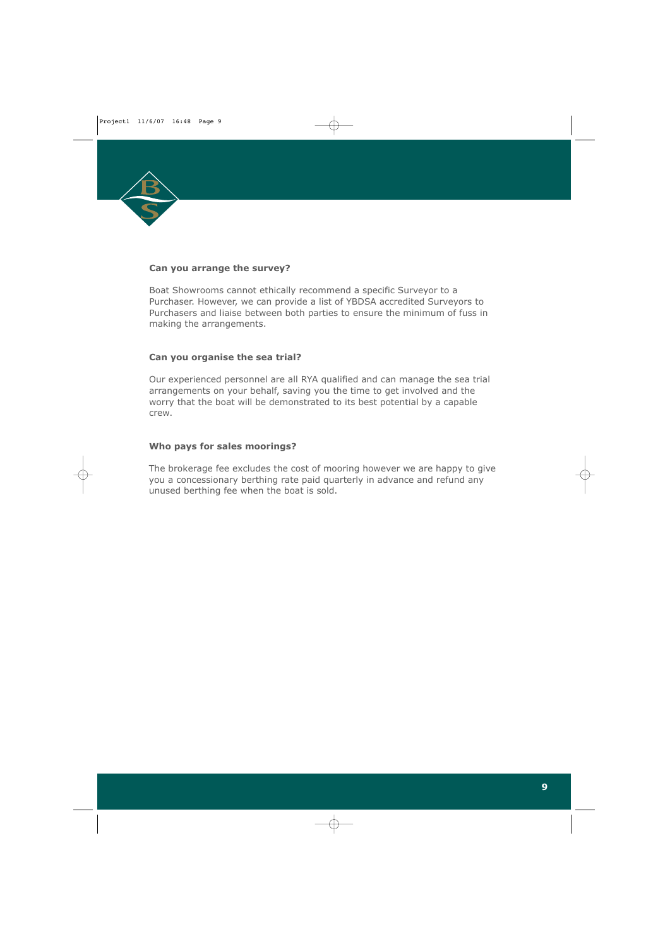

#### **Can you arrange the survey?**

Boat Showrooms cannot ethically recommend a specific Surveyor to a Purchaser. However, we can provide a list of YBDSA accredited Surveyors to Purchasers and liaise between both parties to ensure the minimum of fuss in making the arrangements.

## **Can you organise the sea trial?**

Our experienced personnel are all RYA qualified and can manage the sea trial arrangements on your behalf, saving you the time to get involved and the worry that the boat will be demonstrated to its best potential by a capable crew.

# **Who pays for sales moorings?**

The brokerage fee excludes the cost of mooring however we are happy to give you a concessionary berthing rate paid quarterly in advance and refund any unused berthing fee when the boat is sold.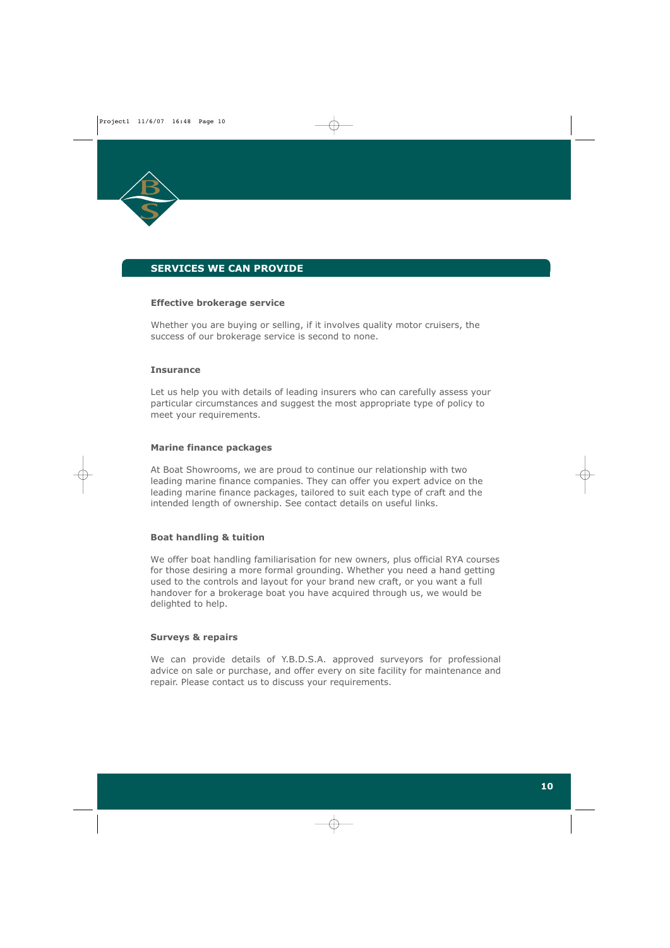

# **SERVICES WE CAN PROVIDE**

#### **Effective brokerage service**

Whether you are buying or selling, if it involves quality motor cruisers, the success of our brokerage service is second to none.

#### **Insurance**

Let us help you with details of leading insurers who can carefully assess your particular circumstances and suggest the most appropriate type of policy to meet your requirements.

#### **Marine finance packages**

At Boat Showrooms, we are proud to continue our relationship with two leading marine finance companies. They can offer you expert advice on the leading marine finance packages, tailored to suit each type of craft and the intended length of ownership. See contact details on useful links.

#### **Boat handling & tuition**

We offer boat handling familiarisation for new owners, plus official RYA courses for those desiring a more formal grounding. Whether you need a hand getting used to the controls and layout for your brand new craft, or you want a full handover for a brokerage boat you have acquired through us, we would be delighted to help.

#### **Surveys & repairs**

We can provide details of Y.B.D.S.A. approved surveyors for professional advice on sale or purchase, and offer every on site facility for maintenance and repair. Please contact us to discuss your requirements.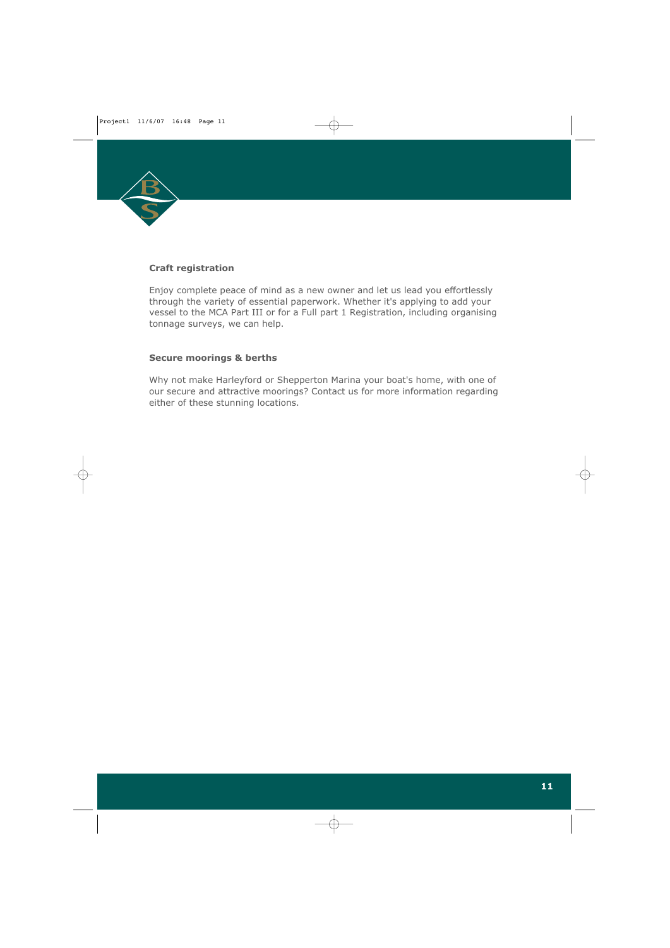

## **Craft registration**

Enjoy complete peace of mind as a new owner and let us lead you effortlessly through the variety of essential paperwork. Whether it's applying to add your vessel to the MCA Part III or for a Full part 1 Registration, including organising tonnage surveys, we can help.

#### **Secure moorings & berths**

Why not make Harleyford or Shepperton Marina your boat's home, with one of our secure and attractive moorings? Contact us for more information regarding either of these stunning locations.